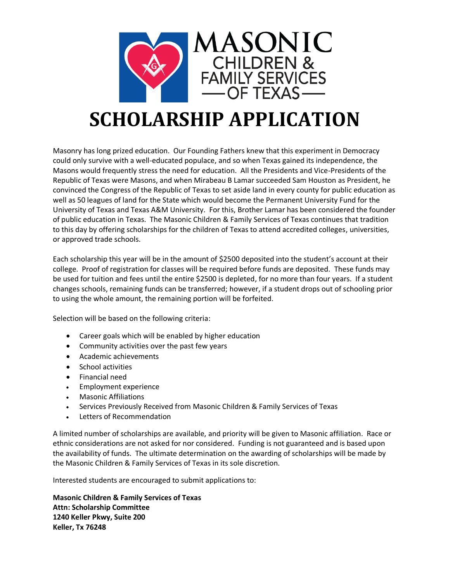

# **SCHOLARSHIP APPLICATION**

Masonry has long prized education. Our Founding Fathers knew that this experiment in Democracy could only survive with a well-educated populace, and so when Texas gained its independence, the Masons would frequently stress the need for education. All the Presidents and Vice-Presidents of the Republic of Texas were Masons, and when Mirabeau B Lamar succeeded Sam Houston as President, he convinced the Congress of the Republic of Texas to set aside land in every county for public education as well as 50 leagues of land for the State which would become the Permanent University Fund for the University of Texas and Texas A&M University. For this, Brother Lamar has been considered the founder of public education in Texas. The Masonic Children & Family Services of Texas continues that tradition to this day by offering scholarships for the children of Texas to attend accredited colleges, universities, or approved trade schools.

Each scholarship this year will be in the amount of \$2500 deposited into the student's account at their college. Proof of registration for classes will be required before funds are deposited. These funds may be used for tuition and fees until the entire \$2500 is depleted, for no more than four years. If a student changes schools, remaining funds can be transferred; however, if a student drops out of schooling prior to using the whole amount, the remaining portion will be forfeited.

Selection will be based on the following criteria:

- Career goals which will be enabled by higher education
- Community activities over the past few years
- Academic achievements
- School activities
- Financial need
- Employment experience
- Masonic Affiliations
- Services Previously Received from Masonic Children & Family Services of Texas
- Letters of Recommendation

A limited number of scholarships are available, and priority will be given to Masonic affiliation. Race or ethnic considerations are not asked for nor considered. Funding is not guaranteed and is based upon the availability of funds. The ultimate determination on the awarding of scholarships will be made by the Masonic Children & Family Services of Texas in its sole discretion.

Interested students are encouraged to submit applications to:

**Masonic Children & Family Services of Texas Attn: Scholarship Committee 1240 Keller Pkwy, Suite 200 Keller, Tx 76248**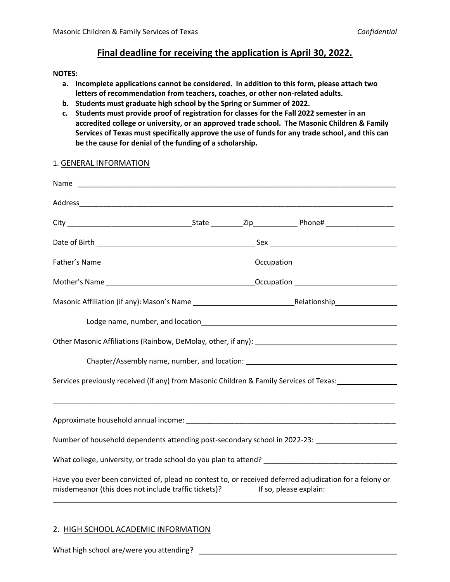### **Final deadline for receiving the application is April 30, 2022.**

#### **NOTES:**

- **a. Incomplete applications cannot be considered. In addition to this form, please attach two letters of recommendation from teachers, coaches, or other non-related adults.**
- **b. Students must graduate high school by the Spring or Summer of 2022.**
- **c. Students must provide proof of registration for classes for the Fall 2022 semester in an accredited college or university, or an approved trade school. The Masonic Children & Family Services of Texas must specifically approve the use of funds for any trade school, and this can be the cause for denial of the funding of a scholarship.**

## Name Address\_\_\_\_\_\_\_\_\_\_\_\_\_\_\_\_\_\_\_\_\_\_\_\_\_\_\_\_\_\_\_\_\_\_\_\_\_\_\_\_\_\_\_\_\_\_\_\_\_\_\_\_\_\_\_\_\_\_\_\_\_\_\_\_\_\_\_\_\_\_\_\_\_\_\_\_\_\_ City the contract of the State that  $\mathsf{Cip}$  and  $\mathsf{Phone}\#$ Date of Birth Sex Father's Name **Community Community Community** Community Occupation Mother's Name Occupation Masonic Affiliation (if any): Mason's Name Relationship Relationship Relationship Lodge name, number, and location Other Masonic Affiliations (Rainbow, DeMolay, other, if any): Chapter/Assembly name, number, and location: Services previously received (if any) from Masonic Children & Family Services of Texas: \_\_\_\_\_\_\_\_\_\_\_\_\_\_\_\_\_\_\_\_\_\_\_\_\_\_\_\_\_\_\_\_\_\_\_\_\_\_\_\_\_\_\_\_\_\_\_\_\_\_\_\_\_\_\_\_\_\_\_\_\_\_\_\_\_\_\_\_\_\_\_\_\_\_\_\_\_\_\_\_\_\_\_\_\_ Approximate household annual income: \_\_\_\_\_\_\_\_\_\_\_\_\_\_\_\_\_\_\_\_\_\_\_\_\_\_\_\_\_\_\_\_\_\_\_\_\_\_\_\_\_\_\_\_\_\_\_\_\_\_\_\_ Number of household dependents attending post-secondary school in 2022-23: What college, university, or trade school do you plan to attend? \_\_\_\_\_\_\_\_\_\_\_\_\_\_\_\_\_\_\_\_\_\_\_\_\_\_\_\_\_\_\_\_\_ Have you ever been convicted of, plead no contest to, or received deferred adjudication for a felony or misdemeanor (this does not include traffic tickets)? If so, please explain: \[\esseem \]

#### 1. GENERAL INFORMATION

#### 2. HIGH SCHOOL ACADEMIC INFORMATION

What high school are/were you attending?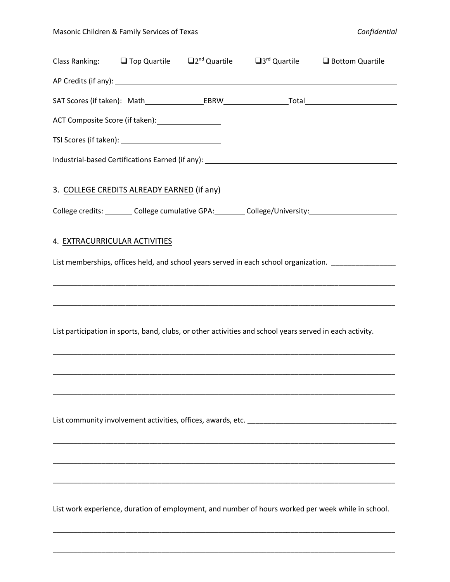|                               |                                                    | Class Ranking: $\Box$ Top Quartile $\Box$ 2 <sup>nd</sup> Quartile $\Box$ 3 <sup>rd</sup> Quartile $\Box$ Bottom Quartile                                                                                                      |                                                                                                     |
|-------------------------------|----------------------------------------------------|--------------------------------------------------------------------------------------------------------------------------------------------------------------------------------------------------------------------------------|-----------------------------------------------------------------------------------------------------|
|                               |                                                    |                                                                                                                                                                                                                                |                                                                                                     |
|                               |                                                    |                                                                                                                                                                                                                                |                                                                                                     |
|                               | ACT Composite Score (if taken): __________________ |                                                                                                                                                                                                                                |                                                                                                     |
|                               |                                                    |                                                                                                                                                                                                                                |                                                                                                     |
|                               |                                                    | Industrial-based Certifications Earned (if any): Manual Communications of the Communication of the Communications of the Communications of the Communications of the Communications of the Communications of the Communication |                                                                                                     |
|                               | 3. COLLEGE CREDITS ALREADY EARNED (if any)         |                                                                                                                                                                                                                                |                                                                                                     |
|                               |                                                    |                                                                                                                                                                                                                                | College credits: _________ College cumulative GPA: ________ College/University: ___________________ |
| 4. EXTRACURRICULAR ACTIVITIES |                                                    |                                                                                                                                                                                                                                | List memberships, offices held, and school years served in each school organization.                |
|                               |                                                    | List participation in sports, band, clubs, or other activities and school years served in each activity.                                                                                                                       |                                                                                                     |
|                               |                                                    |                                                                                                                                                                                                                                |                                                                                                     |
|                               |                                                    |                                                                                                                                                                                                                                | List work experience, duration of employment, and number of hours worked per week while in school.  |

\_\_\_\_\_\_\_\_\_\_\_\_\_\_\_\_\_\_\_\_\_\_\_\_\_\_\_\_\_\_\_\_\_\_\_\_\_\_\_\_\_\_\_\_\_\_\_\_\_\_\_\_\_\_\_\_\_\_\_\_\_\_\_\_\_\_\_\_\_\_\_\_\_\_\_\_\_\_\_\_\_\_\_\_\_